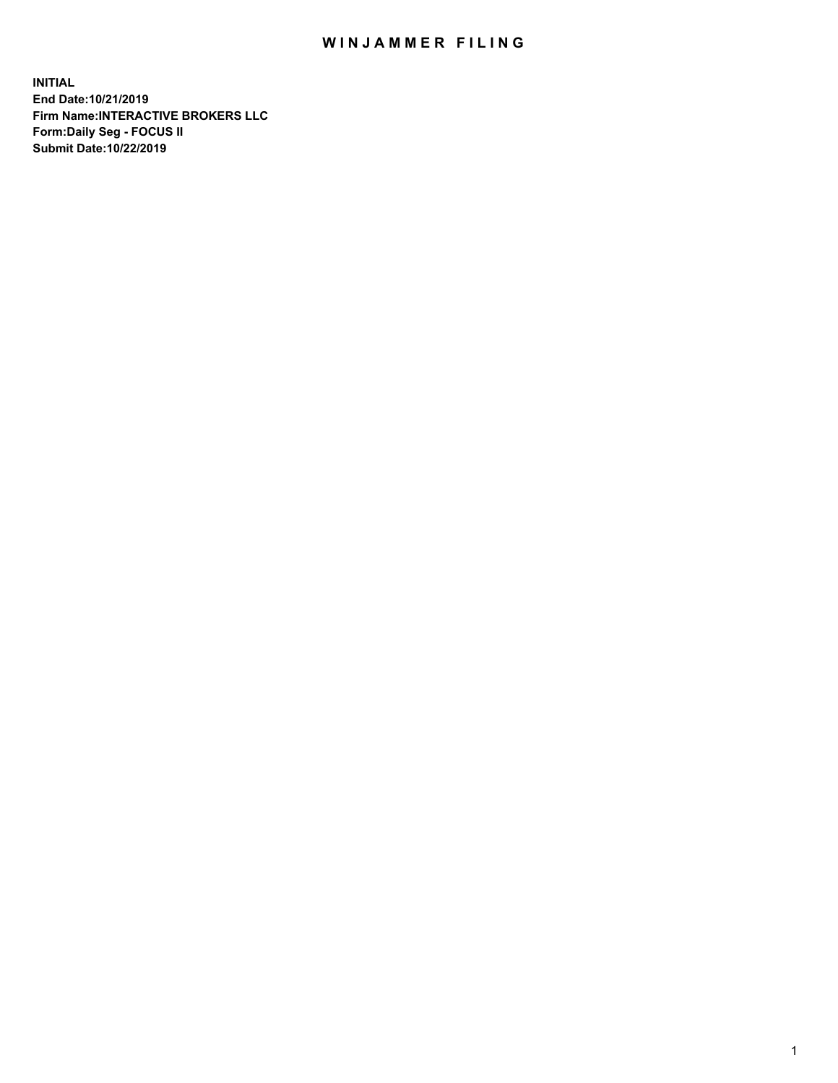## WIN JAMMER FILING

**INITIAL End Date:10/21/2019 Firm Name:INTERACTIVE BROKERS LLC Form:Daily Seg - FOCUS II Submit Date:10/22/2019**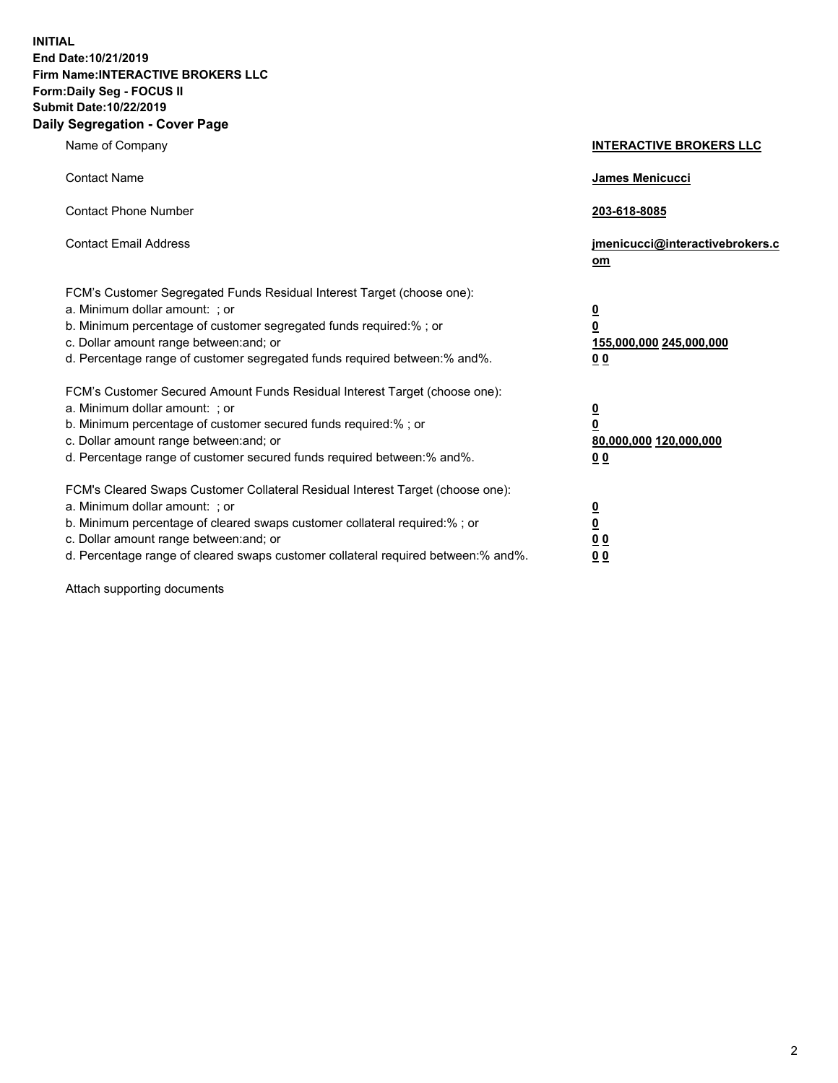**INITIAL End Date:10/21/2019 Firm Name:INTERACTIVE BROKERS LLC Form:Daily Seg - FOCUS II Submit Date:10/22/2019 Daily Segregation - Cover Page**

| Name of Company                                                                                                                                                                                                                                                                                                                | <b>INTERACTIVE BROKERS LLC</b>                                                                  |
|--------------------------------------------------------------------------------------------------------------------------------------------------------------------------------------------------------------------------------------------------------------------------------------------------------------------------------|-------------------------------------------------------------------------------------------------|
| <b>Contact Name</b>                                                                                                                                                                                                                                                                                                            | James Menicucci                                                                                 |
| <b>Contact Phone Number</b>                                                                                                                                                                                                                                                                                                    | 203-618-8085                                                                                    |
| <b>Contact Email Address</b>                                                                                                                                                                                                                                                                                                   | jmenicucci@interactivebrokers.c<br>om                                                           |
| FCM's Customer Segregated Funds Residual Interest Target (choose one):<br>a. Minimum dollar amount: ; or<br>b. Minimum percentage of customer segregated funds required:% ; or<br>c. Dollar amount range between: and; or<br>d. Percentage range of customer segregated funds required between:% and%.                         | $\overline{\mathbf{0}}$<br>$\overline{\mathbf{0}}$<br>155,000,000 245,000,000<br>0 <sub>0</sub> |
| FCM's Customer Secured Amount Funds Residual Interest Target (choose one):<br>a. Minimum dollar amount: ; or<br>b. Minimum percentage of customer secured funds required:%; or<br>c. Dollar amount range between: and; or<br>d. Percentage range of customer secured funds required between:% and%.                            | $\overline{\mathbf{0}}$<br>$\overline{\mathbf{0}}$<br>80,000,000 120,000,000<br>0 <sub>0</sub>  |
| FCM's Cleared Swaps Customer Collateral Residual Interest Target (choose one):<br>a. Minimum dollar amount: ; or<br>b. Minimum percentage of cleared swaps customer collateral required:% ; or<br>c. Dollar amount range between: and; or<br>d. Percentage range of cleared swaps customer collateral required between:% and%. | $\overline{\mathbf{0}}$<br>$\underline{\mathbf{0}}$<br>0 <sub>0</sub><br>0 <sub>0</sub>         |

Attach supporting documents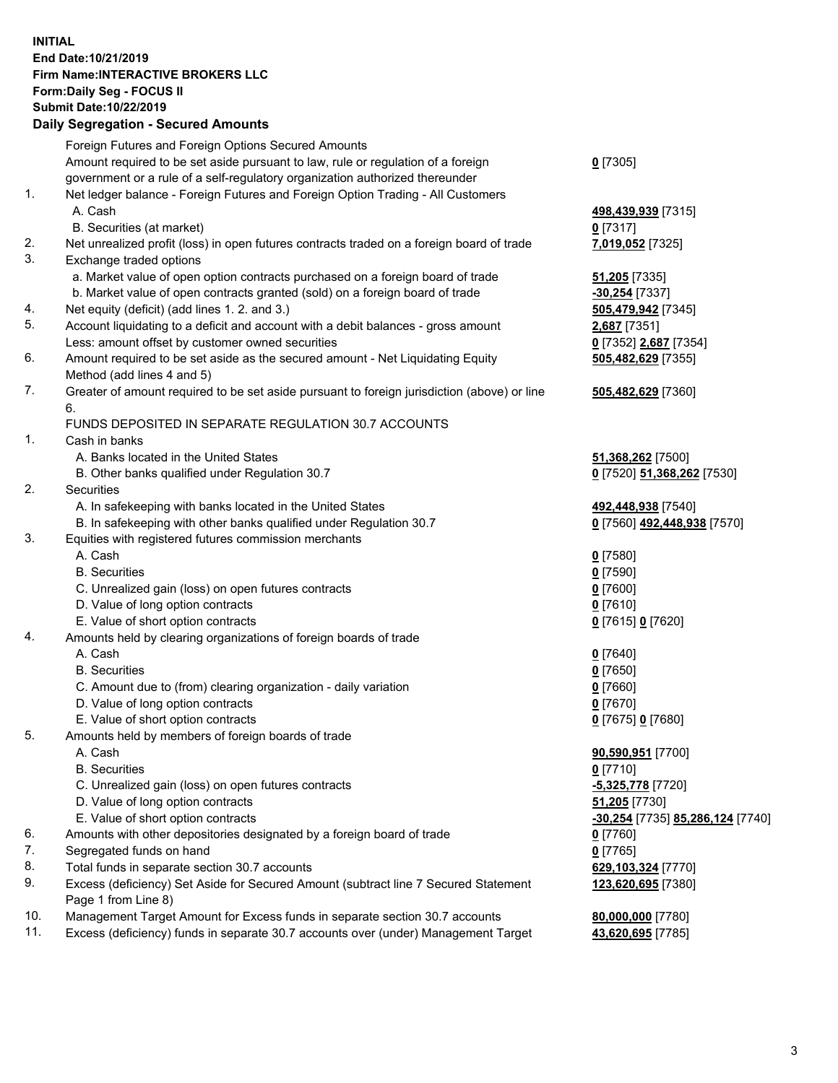## **INITIAL End Date:10/21/2019 Firm Name:INTERACTIVE BROKERS LLC Form:Daily Seg - FOCUS II Submit Date:10/22/2019 Daily Segregation - Secured Amounts**

|     | Daily Segregation - Secured Amounts                                                         |                                                |
|-----|---------------------------------------------------------------------------------------------|------------------------------------------------|
|     | Foreign Futures and Foreign Options Secured Amounts                                         |                                                |
|     | Amount required to be set aside pursuant to law, rule or regulation of a foreign            | $0$ [7305]                                     |
|     | government or a rule of a self-regulatory organization authorized thereunder                |                                                |
| 1.  | Net ledger balance - Foreign Futures and Foreign Option Trading - All Customers             |                                                |
|     | A. Cash                                                                                     | 498,439,939 [7315]                             |
|     | B. Securities (at market)                                                                   | $0$ [7317]                                     |
| 2.  | Net unrealized profit (loss) in open futures contracts traded on a foreign board of trade   | 7,019,052 [7325]                               |
| 3.  | Exchange traded options                                                                     |                                                |
|     | a. Market value of open option contracts purchased on a foreign board of trade              | 51,205 [7335]                                  |
|     | b. Market value of open contracts granted (sold) on a foreign board of trade                | -30,254 [7337]                                 |
| 4.  | Net equity (deficit) (add lines 1. 2. and 3.)                                               | 505,479,942 [7345]                             |
| 5.  | Account liquidating to a deficit and account with a debit balances - gross amount           | 2,687 [7351]                                   |
|     | Less: amount offset by customer owned securities                                            | 0 [7352] 2,687 [7354]                          |
| 6.  | Amount required to be set aside as the secured amount - Net Liquidating Equity              | 505,482,629 [7355]                             |
|     | Method (add lines 4 and 5)                                                                  |                                                |
| 7.  | Greater of amount required to be set aside pursuant to foreign jurisdiction (above) or line | 505,482,629 [7360]                             |
|     | 6.                                                                                          |                                                |
|     | FUNDS DEPOSITED IN SEPARATE REGULATION 30.7 ACCOUNTS                                        |                                                |
| 1.  | Cash in banks                                                                               |                                                |
|     | A. Banks located in the United States                                                       | 51,368,262 [7500]                              |
|     | B. Other banks qualified under Regulation 30.7                                              | 0 [7520] 51,368,262 [7530]                     |
| 2.  | Securities                                                                                  |                                                |
|     | A. In safekeeping with banks located in the United States                                   | 492,448,938 [7540]                             |
| 3.  | B. In safekeeping with other banks qualified under Regulation 30.7                          | 0 [7560] 492,448,938 [7570]                    |
|     | Equities with registered futures commission merchants<br>A. Cash                            |                                                |
|     | <b>B.</b> Securities                                                                        | $0$ [7580]                                     |
|     | C. Unrealized gain (loss) on open futures contracts                                         | $0$ [7590]<br>$0$ [7600]                       |
|     | D. Value of long option contracts                                                           | $0$ [7610]                                     |
|     | E. Value of short option contracts                                                          | 0 [7615] 0 [7620]                              |
| 4.  | Amounts held by clearing organizations of foreign boards of trade                           |                                                |
|     | A. Cash                                                                                     | $0$ [7640]                                     |
|     | <b>B.</b> Securities                                                                        | $0$ [7650]                                     |
|     | C. Amount due to (from) clearing organization - daily variation                             | $0$ [7660]                                     |
|     | D. Value of long option contracts                                                           | $0$ [7670]                                     |
|     | E. Value of short option contracts                                                          | 0 [7675] 0 [7680]                              |
| 5.  | Amounts held by members of foreign boards of trade                                          |                                                |
|     | A. Cash                                                                                     | 90,590,951 [7700]                              |
|     | <b>B.</b> Securities                                                                        | $0$ [7710]                                     |
|     | C. Unrealized gain (loss) on open futures contracts                                         | -5,325,778 [7720]                              |
|     | D. Value of long option contracts                                                           | 51,205 [7730]                                  |
|     | E. Value of short option contracts                                                          | <u>-30,254</u> [7735] <u>85,286,124</u> [7740] |
| 6.  | Amounts with other depositories designated by a foreign board of trade                      | $0$ [7760]                                     |
| 7.  | Segregated funds on hand                                                                    | $0$ [7765]                                     |
| 8.  | Total funds in separate section 30.7 accounts                                               | 629,103,324 [7770]                             |
| 9.  | Excess (deficiency) Set Aside for Secured Amount (subtract line 7 Secured Statement         | 123,620,695 [7380]                             |
|     | Page 1 from Line 8)                                                                         |                                                |
| 10. | Management Target Amount for Excess funds in separate section 30.7 accounts                 | 80,000,000 [7780]                              |
| 11. | Excess (deficiency) funds in separate 30.7 accounts over (under) Management Target          | 43,620,695 [7785]                              |
|     |                                                                                             |                                                |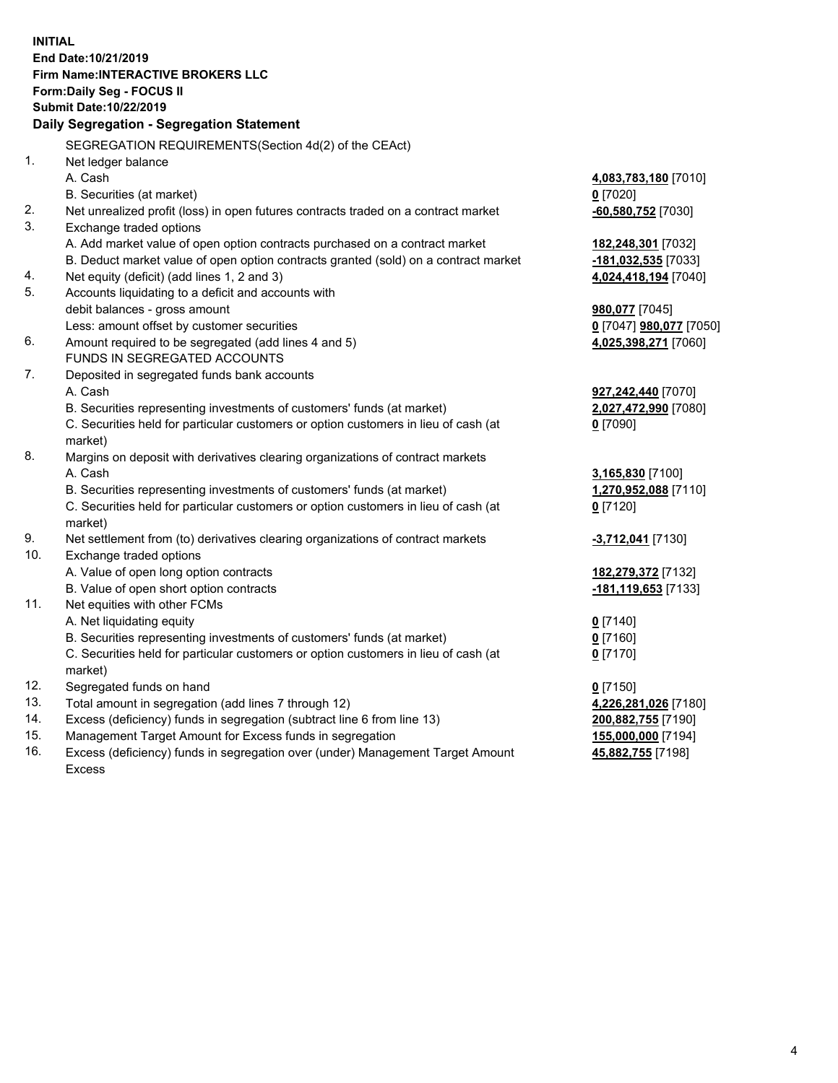**INITIAL End Date:10/21/2019 Firm Name:INTERACTIVE BROKERS LLC Form:Daily Seg - FOCUS II Submit Date:10/22/2019 Daily Segregation - Segregation Statement** SEGREGATION REQUIREMENTS(Section 4d(2) of the CEAct) 1. Net ledger balance A. Cash **4,083,783,180** [7010] B. Securities (at market) **0** [7020] 2. Net unrealized profit (loss) in open futures contracts traded on a contract market **-60,580,752** [7030] 3. Exchange traded options A. Add market value of open option contracts purchased on a contract market **182,248,301** [7032] B. Deduct market value of open option contracts granted (sold) on a contract market **-181,032,535** [7033] 4. Net equity (deficit) (add lines 1, 2 and 3) **4,024,418,194** [7040] 5. Accounts liquidating to a deficit and accounts with debit balances - gross amount **980,077** [7045] Less: amount offset by customer securities **0** [7047] **980,077** [7050] 6. Amount required to be segregated (add lines 4 and 5) **4,025,398,271** [7060] FUNDS IN SEGREGATED ACCOUNTS 7. Deposited in segregated funds bank accounts A. Cash **927,242,440** [7070] B. Securities representing investments of customers' funds (at market) **2,027,472,990** [7080] C. Securities held for particular customers or option customers in lieu of cash (at market) **0** [7090] 8. Margins on deposit with derivatives clearing organizations of contract markets A. Cash **3,165,830** [7100] B. Securities representing investments of customers' funds (at market) **1,270,952,088** [7110] C. Securities held for particular customers or option customers in lieu of cash (at market) **0** [7120] 9. Net settlement from (to) derivatives clearing organizations of contract markets **-3,712,041** [7130] 10. Exchange traded options A. Value of open long option contracts **182,279,372** [7132] B. Value of open short option contracts **-181,119,653** [7133] 11. Net equities with other FCMs A. Net liquidating equity **0** [7140] B. Securities representing investments of customers' funds (at market) **0** [7160] C. Securities held for particular customers or option customers in lieu of cash (at market) **0** [7170] 12. Segregated funds on hand **0** [7150] 13. Total amount in segregation (add lines 7 through 12) **4,226,281,026** [7180] 14. Excess (deficiency) funds in segregation (subtract line 6 from line 13) **200,882,755** [7190] 15. Management Target Amount for Excess funds in segregation **155,000,000** [7194]

16. Excess (deficiency) funds in segregation over (under) Management Target Amount Excess

**45,882,755** [7198]